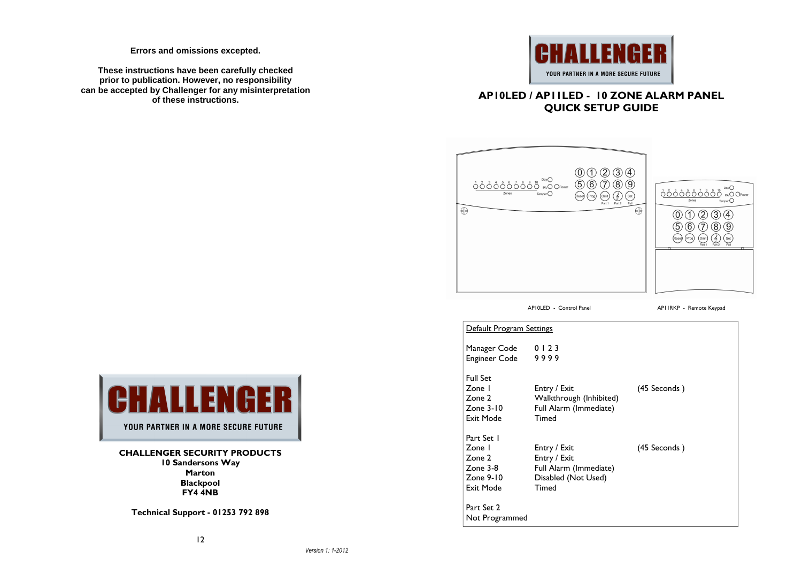**Errors and omissions excepted.** 

**These instructions have been carefully checked prior to publication. However, no responsibility can be accepted by Challenger for any misinterpretation of these instructions.**



### **AP10LED / AP11LED - 10 ZONE ALARM PANEL QUICK SETUP GUIDE**



AP10LED - Control Panel **AP11RKP** - Remote Keypad

| Default Program Settings                                                    |                                                                                        |              |
|-----------------------------------------------------------------------------|----------------------------------------------------------------------------------------|--------------|
| Manager Code<br><b>Engineer Code</b>                                        | 0123<br>9999                                                                           |              |
| <b>Full Set</b><br>Zone I<br>Zone 2<br>Zone $3-10$<br>Exit Mode             | Entry / Exit<br>Walkthrough (Inhibited)<br>Full Alarm (Immediate)<br>Timed             | (45 Seconds) |
| Part Set 1<br>Zone I<br>Zone 2<br>$Z$ one $3-8$<br>Zone $9-10$<br>Exit Mode | Entry / Exit<br>Entry / Exit<br>Full Alarm (Immediate)<br>Disabled (Not Used)<br>Timed | (45 Seconds) |
| Part Set 2<br>Not Programmed                                                |                                                                                        |              |



YOUR PARTNER IN A MORE SECURE FUTURE

**CHALLENGER SECURITY PRODUCTS 10 Sandersons Way Marton Blackpool FY4 4NB** 

**Technical Support - 01253 792 898**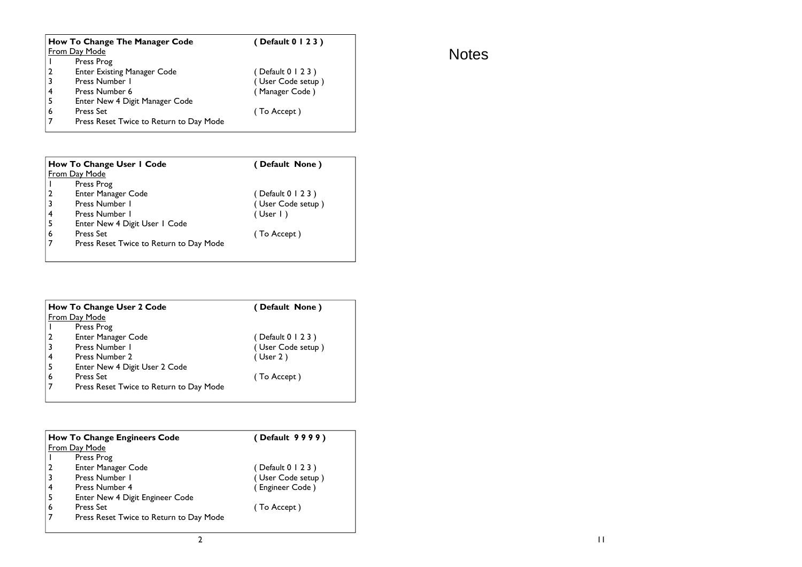|    | <b>How To Change The Manager Code</b>   | (Default 0 1 2 3 ) |  |  |  |  |
|----|-----------------------------------------|--------------------|--|--|--|--|
|    | <b>From Day Mode</b>                    |                    |  |  |  |  |
|    | Press Prog                              |                    |  |  |  |  |
|    | <b>Enter Existing Manager Code</b>      | (Default 0 1 2 3 ) |  |  |  |  |
|    | Press Number 1                          | (User Code setup)  |  |  |  |  |
|    | Press Number 6                          | (Manager Code)     |  |  |  |  |
| -5 | Enter New 4 Digit Manager Code          |                    |  |  |  |  |
| 6  | <b>Press Set</b>                        | (To Accept)        |  |  |  |  |
|    | Press Reset Twice to Return to Day Mode |                    |  |  |  |  |

|                | How To Change User I Code               | (Default None)     |
|----------------|-----------------------------------------|--------------------|
|                | From Day Mode                           |                    |
|                | Press Prog                              |                    |
| $\overline{2}$ | <b>Enter Manager Code</b>               | (Default 0 1 2 3 ) |
| 3              | Press Number 1                          | (User Code setup)  |
| 4              | Press Number 1                          | (User I)           |
| 5              | Enter New 4 Digit User 1 Code           |                    |
| 6              | <b>Press Set</b>                        | (To Accept)        |
|                | Press Reset Twice to Return to Day Mode |                    |
|                |                                         |                    |

|               | <b>How To Change User 2 Code</b>        | (Default None)     |
|---------------|-----------------------------------------|--------------------|
| From Day Mode |                                         |                    |
|               | Press Prog                              |                    |
|               | Enter Manager Code                      | (Default 0 1 2 3 ) |
|               | Press Number 1                          | (User Code setup)  |
|               | Press Number 2                          | $($ User 2)        |
| 5             | Enter New 4 Digit User 2 Code           |                    |
| 6             | <b>Press Set</b>                        | (To Accept)        |
|               | Press Reset Twice to Return to Day Mode |                    |

|   | <b>How To Change Engineers Code</b>     | (Default 9999)    |  |  |  |  |
|---|-----------------------------------------|-------------------|--|--|--|--|
|   | From Day Mode                           |                   |  |  |  |  |
|   | Press Prog                              |                   |  |  |  |  |
| 2 | <b>Enter Manager Code</b>               | (Default 0 1 2 3) |  |  |  |  |
| 3 | Press Number 1                          | (User Code setup) |  |  |  |  |
| 4 | Press Number 4                          | (Engineer Code)   |  |  |  |  |
| 5 | Enter New 4 Digit Engineer Code         |                   |  |  |  |  |
| 6 | <b>Press Set</b>                        | (To Accept)       |  |  |  |  |
|   | Press Reset Twice to Return to Day Mode |                   |  |  |  |  |

# Notes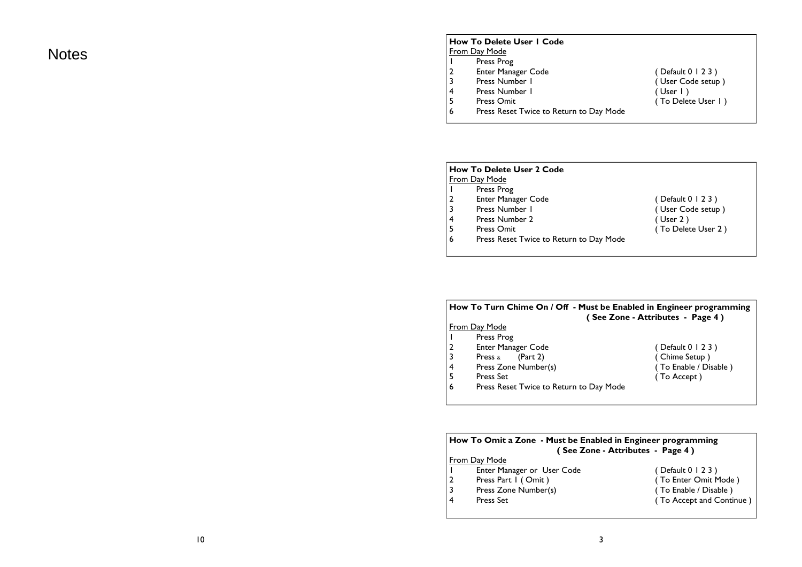Notes

#### **How To Delete User 1 Code** From Day Mode

- 1 Press Prog
- 2 Enter Manager Code ( Default 0 1 2 3 )
- 3 Press Number I and Solomon (User Code setup )
- 4 Press Number I (User I)<br>5 Press Omit (To Delet
- 5 Press Omit **Figure 2** (To Delete User 1 )
- 6 Press Reset Twice to Return to Day Mode

### **How To Delete User 2 Code From Day Mode**<br>I Press Pro 1 Press Prog 2 Enter Manager Code (Default 0 1 2 3 ) 3 Press Number I (User Code setup ) 4 Press Number 2 (User 2 )<br>5 Press Omit (To Delet 5 Press Omit **Figure 2 (To Delete User 2 )** 6 Press Reset Twice to Return to Day Mode

|                | How To Turn Chime On / Off - Must be Enabled in Engineer programming<br>(See Zone - Attributes - Page 4) |                       |  |  |  |
|----------------|----------------------------------------------------------------------------------------------------------|-----------------------|--|--|--|
|                | From Day Mode                                                                                            |                       |  |  |  |
|                | Press Prog                                                                                               |                       |  |  |  |
| $\overline{2}$ | <b>Enter Manager Code</b>                                                                                | ( Default 0 1 2 3 )   |  |  |  |
| 3              | Press $\&$ (Part 2)                                                                                      | (Chime Setup)         |  |  |  |
| 4              | Press Zone Number(s)                                                                                     | (To Enable / Disable) |  |  |  |
| 5              | <b>Press Set</b>                                                                                         | (To Accept)           |  |  |  |
| 6              | Press Reset Twice to Return to Day Mode                                                                  |                       |  |  |  |
|                |                                                                                                          |                       |  |  |  |

|                                                 | How To Omit a Zone - Must be Enabled in Engineer programming<br>(See Zone - Attributes - Page 4) |                          |  |  |  |
|-------------------------------------------------|--------------------------------------------------------------------------------------------------|--------------------------|--|--|--|
|                                                 | From Day Mode                                                                                    |                          |  |  |  |
| Enter Manager or User Code<br>(Default 0 1 2 3) |                                                                                                  |                          |  |  |  |
| 2                                               | Press Part I (Omit)                                                                              | (To Enter Omit Mode)     |  |  |  |
| 3                                               | Press Zone Number(s)                                                                             | (To Enable / Disable)    |  |  |  |
| 4                                               | Press Set                                                                                        | (To Accept and Continue) |  |  |  |
|                                                 |                                                                                                  |                          |  |  |  |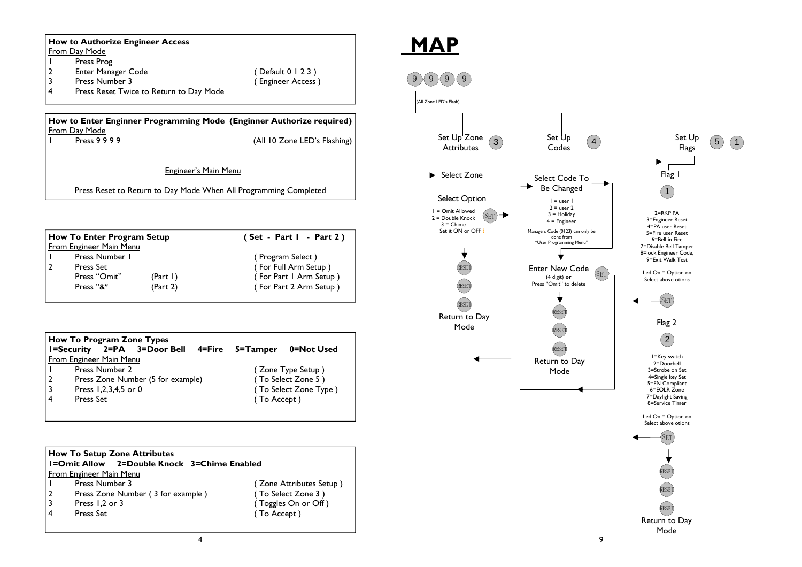|                | From Day Mode                                                |                                                                      |
|----------------|--------------------------------------------------------------|----------------------------------------------------------------------|
| ı              | Press Prog                                                   |                                                                      |
| 2              | <b>Enter Manager Code</b>                                    | (Default 0   2 3)                                                    |
| 3              | Press Number 3                                               | (Engineer Access)                                                    |
| 4              | Press Reset Twice to Return to Day Mode                      |                                                                      |
|                | From Day Mode                                                | How to Enter Enginner Programming Mode (Enginner Authorize required) |
|                | Press 9999                                                   | (All 10 Zone LED's Flashing)                                         |
|                |                                                              |                                                                      |
|                |                                                              | <b>Engineer's Main Menu</b>                                          |
|                |                                                              | Press Reset to Return to Day Mode When All Programming Completed     |
|                |                                                              |                                                                      |
|                | <b>How To Enter Program Setup</b><br>From Engineer Main Menu | (Set - Part I - Part 2)                                              |
|                | Press Number 1                                               |                                                                      |
| $\overline{2}$ | Press Set                                                    | (Program Select)<br>(For Full Arm Setup)                             |
|                | Press "Omit"<br>(Part I)                                     | (For Part I Arm Setup)                                               |

|                |           |                         | How To Frogram Zone Types          |             |                       |
|----------------|-----------|-------------------------|------------------------------------|-------------|-----------------------|
|                |           |                         | I=Security 2=PA 3=Door Bell 4=Fire | 5=Tamper    | 0=Not Used            |
|                |           | From Engineer Main Menu |                                    |             |                       |
|                |           | Press Number 2          |                                    |             | (Zone Type Setup)     |
| $\overline{2}$ |           |                         | Press Zone Number (5 for example)  |             | (To Select Zone 5)    |
| l 3            |           | Press 1,2,3,4,5 or 0    |                                    |             | (To Select Zone Type) |
| l 4            | Press Set |                         |                                    | (To Accept) |                       |
|                |           |                         |                                    |             |                       |

|                | How To Setup Zone Attributes                       |  |  |                         |  |  |
|----------------|----------------------------------------------------|--|--|-------------------------|--|--|
|                | <b>1=Omit Allow</b> 2=Double Knock 3=Chime Enabled |  |  |                         |  |  |
|                | From Engineer Main Menu                            |  |  |                         |  |  |
|                | Press Number 3                                     |  |  | (Zone Attributes Setup) |  |  |
| $\overline{2}$ | Press Zone Number (3 for example)                  |  |  | (To Select Zone 3)      |  |  |
|                | Press 1,2 or 3                                     |  |  | (Toggles On or Off)     |  |  |
|                | <b>Press Set</b>                                   |  |  | (To Accept)             |  |  |
|                |                                                    |  |  |                         |  |  |

# **MAP**

# $9 (9 (9) (9)$

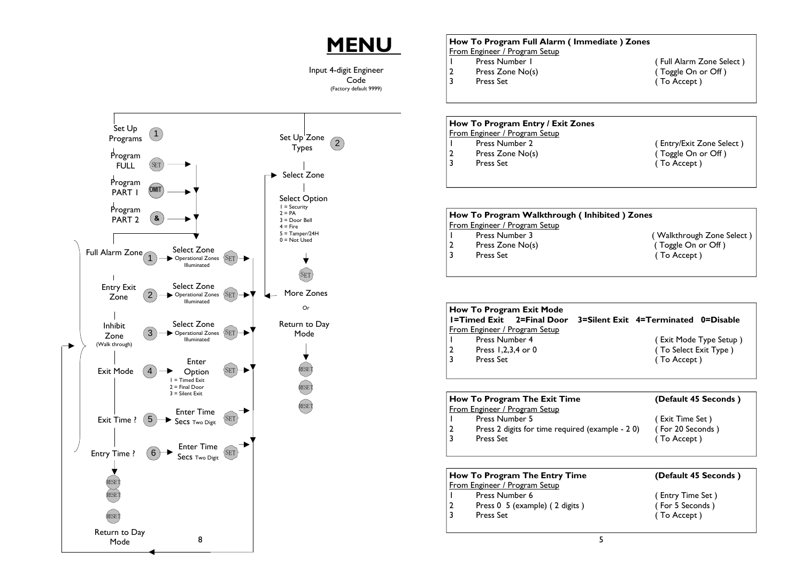# **MENU**

Input 4-digit Engineer Code (Factory default 9999)



## **How To Program Full Alarm ( Immediate ) Zones** From Engineer / Program Setup<br>| Press Number | 1 Press Number 1 (Full Alarm Zone Select)<br>
2 Press Zone No(s) (Toggle On or Off)  $\hat{C}$  Toggle On or Off ) 3 Press Set (To Accept)

### **How To Program Entry / Exit Zones**

- From Engineer / Program Setup<br>
1 Press Number 2
- 
- 3 Press Set ( To Accept )
- 1 Press Number 2 (Entry/Exit Zone Select)<br>
2 Press Zone No(s) (Toggle On or Off) 2 Press Zone No(s) 2 Press 7 (Toggle On or Off )

|  | How To Program Walkthrough (Inhibited) Zones |                           |
|--|----------------------------------------------|---------------------------|
|  | From Engineer / Program Setup                |                           |
|  | Press Number 3                               | (Walkthrough Zone Select) |
|  | Press Zone No(s)                             | (Toggle On or Off)        |
|  | Press Set                                    | (To Accept)               |
|  |                                              |                           |
|  |                                              |                           |

|   | How To Program Exit Mode<br><b>I=Timed Exit</b> 2=Final Door<br>From Engineer / Program Setup |  | 3=Silent Exit 4=Terminated 0=Disable |                        |  |  |  |
|---|-----------------------------------------------------------------------------------------------|--|--------------------------------------|------------------------|--|--|--|
|   | Press Number 4                                                                                |  |                                      | (Exit Mode Type Setup) |  |  |  |
| 2 | Press 1,2,3,4 or 0                                                                            |  | (To Select Exit Type)                |                        |  |  |  |
|   | Press Set                                                                                     |  | (To Accept)                          |                        |  |  |  |
|   |                                                                                               |  |                                      |                        |  |  |  |
|   | (Default 45 Seconds)<br>How To Program The Exit Time                                          |  |                                      |                        |  |  |  |

|  | $\parallel$ row to program the exit time         | (Delault 45 Seconds) |
|--|--------------------------------------------------|----------------------|
|  | From Engineer / Program Setup                    |                      |
|  | Press Number 5                                   | (Exit Time Set)      |
|  | Press 2 digits for time required (example - 2 0) | (For 20 Seconds)     |
|  | <b>Press Set</b>                                 | (To Accept)          |
|  |                                                  |                      |
|  |                                                  |                      |

|                                      | How To Program The Entry Time  | (Default 45 Seconds) |  |  |
|--------------------------------------|--------------------------------|----------------------|--|--|
| <b>From Engineer / Program Setup</b> |                                |                      |  |  |
| $\mathbf{L}$                         | Press Number 6                 | (Entry Time Set)     |  |  |
| 2                                    | Press 0 5 (example) (2 digits) | (For 5 Seconds)      |  |  |
| 3                                    | <b>Press Set</b>               | (To Accept)          |  |  |